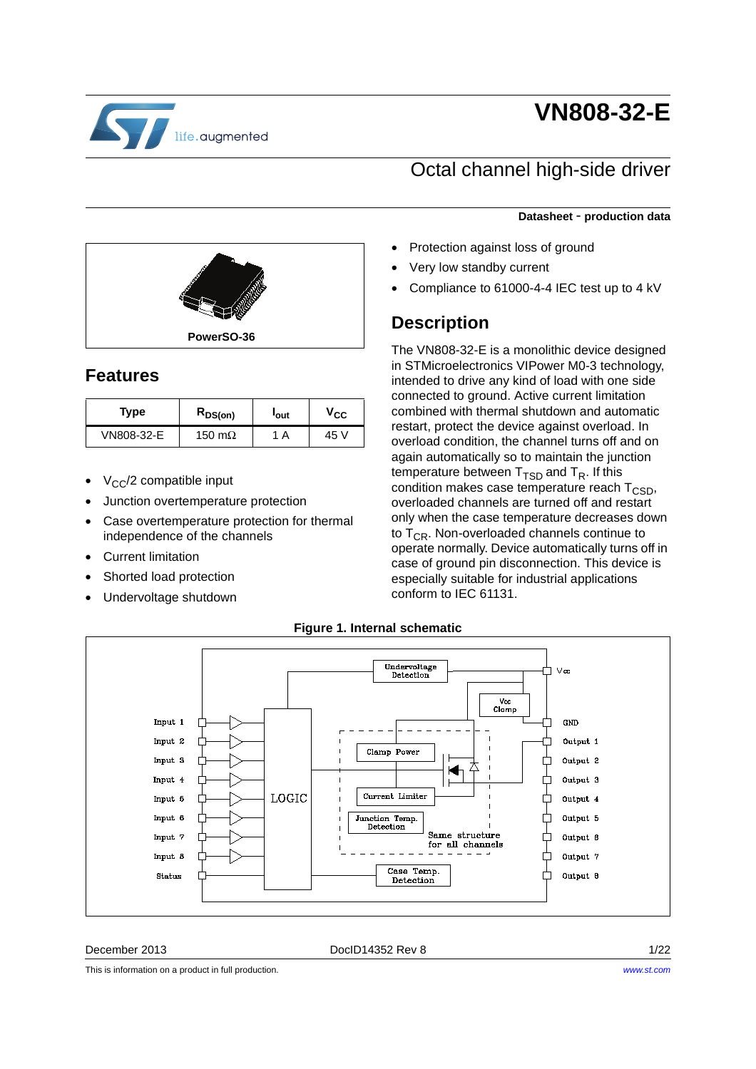

# **VN808-32-E**

### Octal channel high-side driver

#### **Datasheet** - **production data**

- Protection against loss of ground
- Very low standby current
- Compliance to 61000-4-4 IEC test up to 4 kV

### **Description**

The VN808-32-E is a monolithic device designed in STMicroelectronics VIPower M0-3 technology, intended to drive any kind of load with one side connected to ground. Active current limitation combined with thermal shutdown and automatic restart, protect the device against overload. In overload condition, the channel turns off and on again automatically so to maintain the junction temperature between  $T_{\text{TSD}}$  and  $T_{\text{R}}$ . If this condition makes case temperature reach  $T_{\text{CSD}}$ , overloaded channels are turned off and restart only when the case temperature decreases down to  $T_{CR}$ . Non-overloaded channels continue to operate normally. Device automatically turns off in case of ground pin disconnection. This device is especially suitable for industrial applications conform to IEC 61131.



### **Features**

| Type       | $R_{DS(on)}$   | 'out | $\mathsf{v_{cc}}$ |
|------------|----------------|------|-------------------|
| VN808-32-E | 150 m $\Omega$ | A    | 45 V              |

- $V_{CC}/2$  compatible input
- Junction overtemperature protection
- Case overtemperature protection for thermal independence of the channels
- Current limitation
- Shorted load protection
- Undervoltage shutdown



#### **Figure 1. Internal schematic**

December 2013 DocID14352 Rev 8 1/22

This is information on a product in full production.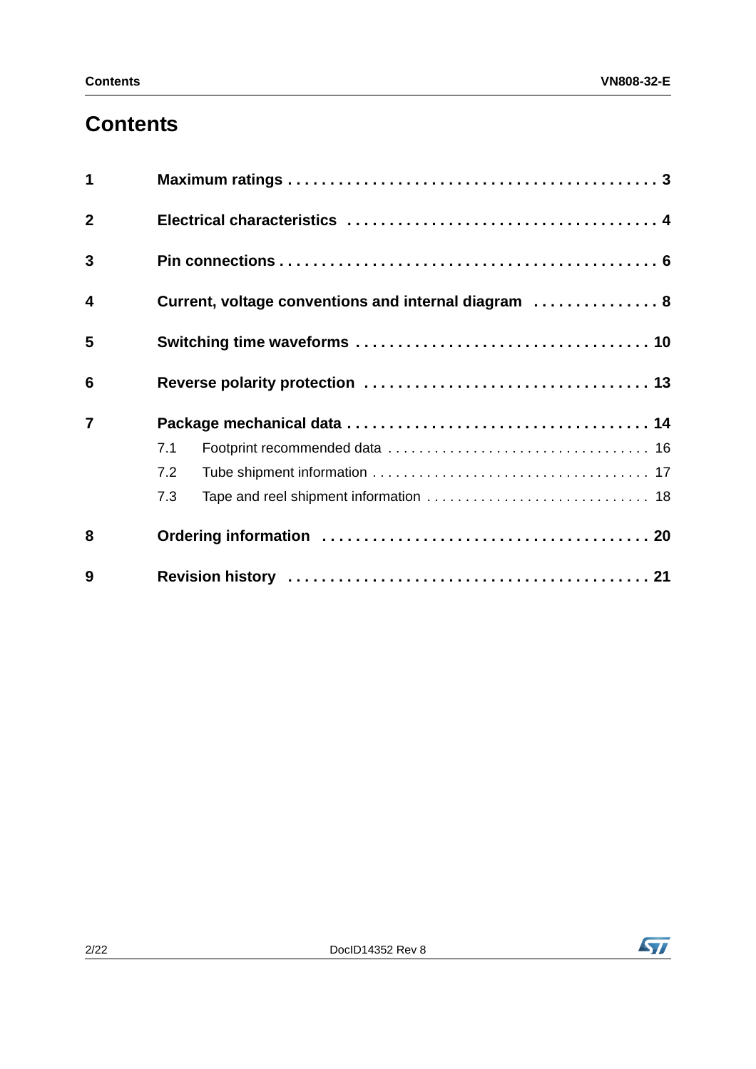## **Contents**

| 9                       |                                                      |  |  |  |
|-------------------------|------------------------------------------------------|--|--|--|
| 8                       |                                                      |  |  |  |
|                         | 7.3                                                  |  |  |  |
|                         | 7.2                                                  |  |  |  |
|                         | 7.1                                                  |  |  |  |
| $\overline{7}$          |                                                      |  |  |  |
| 6                       |                                                      |  |  |  |
| 5                       |                                                      |  |  |  |
| $\overline{\mathbf{4}}$ | Current, voltage conventions and internal diagram  8 |  |  |  |
| $\overline{3}$          |                                                      |  |  |  |
| $\overline{2}$          |                                                      |  |  |  |
| 1                       |                                                      |  |  |  |

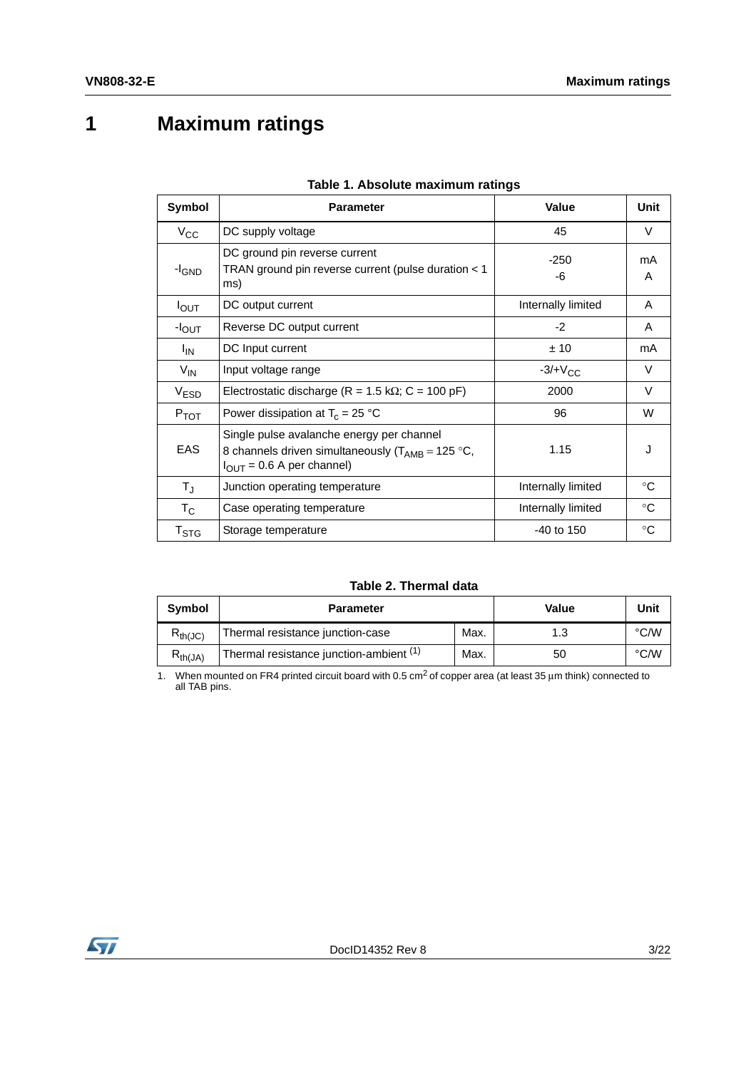# <span id="page-2-0"></span>**1 Maximum ratings**

<span id="page-2-1"></span>

| Symbol                      | <b>Parameter</b>                                                                                                                             | Value              | Unit         |
|-----------------------------|----------------------------------------------------------------------------------------------------------------------------------------------|--------------------|--------------|
| $V_{\rm CC}$                | DC supply voltage                                                                                                                            | 45                 | $\vee$       |
| $-I_{GND}$                  | DC ground pin reverse current<br>TRAN ground pin reverse current (pulse duration < 1<br>ms)                                                  | $-250$<br>-6       | mA<br>A      |
| $I_{\text{OUT}}$            | DC output current                                                                                                                            | Internally limited | A            |
| $-IOUT$                     | Reverse DC output current                                                                                                                    | $-2$               | A            |
| <sup>I</sup> IN             | DC Input current                                                                                                                             | ± 10               | mA           |
| $V_{\text{IN}}$             | Input voltage range                                                                                                                          | $-3/+VCC$          | $\vee$       |
| V <sub>ESD</sub>            | Electrostatic discharge (R = 1.5 k $\Omega$ ; C = 100 pF)                                                                                    | 2000               | $\vee$       |
| $P_{TOT}$                   | Power dissipation at $T_c = 25 °C$                                                                                                           | 96                 | W            |
| <b>EAS</b>                  | Single pulse avalanche energy per channel<br>8 channels driven simultaneously ( $T_{AMB}$ = 125 °C,<br>$I_{\text{OUT}}$ = 0.6 A per channel) | 1.15               | J.           |
| $T_{\rm J}$                 | Junction operating temperature                                                                                                               | Internally limited | $^{\circ}C$  |
| $T_{\rm C}$                 | Case operating temperature                                                                                                                   | Internally limited | $^{\circ}$ C |
| $\mathsf{T}_{\textsf{STG}}$ | Storage temperature                                                                                                                          | $-40$ to 150       | °C           |

|  |  |  | Table 1. Absolute maximum ratings |  |
|--|--|--|-----------------------------------|--|
|--|--|--|-----------------------------------|--|

#### **Table 2. Thermal data**

| <b>Symbol</b> | <b>Parameter</b>                        |      | Value | Unit          |
|---------------|-----------------------------------------|------|-------|---------------|
| $R_{th(JC)}$  | Thermal resistance junction-case        | Max. | 1.3   | °C/W          |
| $R_{th(JA)}$  | Thermal resistance junction-ambient (1) | Max. | 50    | $\degree$ C/W |

1. When mounted on FR4 printed circuit board with 0.5 cm<sup>2</sup> of copper area (at least 35  $\mu$ m think) connected to all TAB pins.

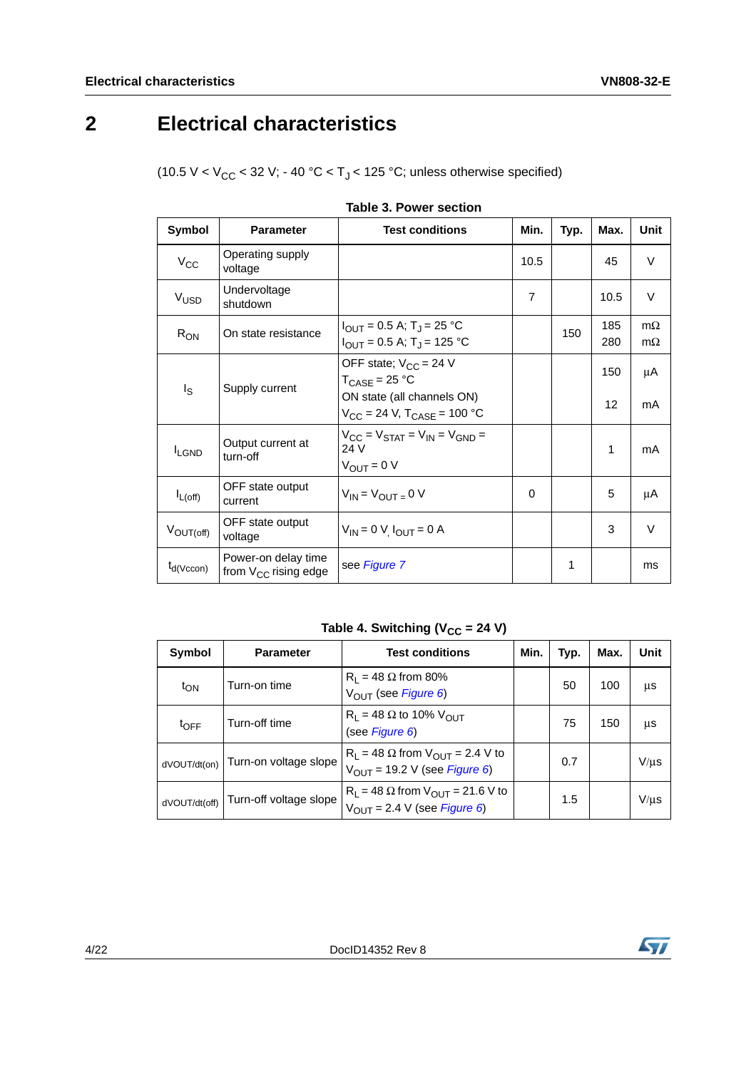# <span id="page-3-0"></span>**2 Electrical characteristics**

(10.5 V <  $V_{CC}$  < 32 V; - 40 °C < T<sub>J</sub> < 125 °C; unless otherwise specified)

<span id="page-3-1"></span>

| Symbol           | <b>Parameter</b>                                 | <b>Test conditions</b>                                                                                                                | Min.           | Typ. | Max.       | Unit                   |
|------------------|--------------------------------------------------|---------------------------------------------------------------------------------------------------------------------------------------|----------------|------|------------|------------------------|
| $V_{\rm CC}$     | Operating supply<br>voltage                      |                                                                                                                                       | 10.5           |      | 45         | $\vee$                 |
| V <sub>USD</sub> | Undervoltage<br>shutdown                         |                                                                                                                                       | $\overline{7}$ |      | 10.5       | $\vee$                 |
| $R_{ON}$         | On state resistance                              | $I_{\text{OUT}}$ = 0.5 A; T <sub>J</sub> = 25 °C<br>$I_{\text{OUT}}$ = 0.5 A; T <sub>J</sub> = 125 °C                                 |                | 150  | 185<br>280 | $m\Omega$<br>$m\Omega$ |
| I <sub>S</sub>   | Supply current                                   | OFF state; $V_{CC} = 24$ V<br>$T_{\text{CASE}} = 25 \text{ °C}$<br>ON state (all channels ON)<br>$V_{CC}$ = 24 V, $T_{CASE}$ = 100 °C |                |      | 150<br>12  | μA<br>mA               |
| <b>I</b> LGND    | Output current at<br>turn-off                    | $V_{CC} = V_{STAT} = V_{IN} = V_{GND}$<br>24 V<br>$V_{OUIT} = 0 V$                                                                    |                |      | 1          | mA                     |
| $I_{L(off)}$     | OFF state output<br>current                      | $V_{IN} = V_{OUIT} = 0 V$                                                                                                             | 0              |      | 5          | μA                     |
| $V_{OUT(off)}$   | OFF state output<br>voltage                      | $V_{IN} = 0 V I_{OUT} = 0 A$                                                                                                          |                |      | 3          | $\vee$                 |
| $t_{d(Vccon)}$   | Power-on delay time<br>from $V_{CC}$ rising edge | see Figure 7                                                                                                                          |                | 1    |            | ms                     |

|  | Table 3. Power section |  |
|--|------------------------|--|
|--|------------------------|--|

Table 4. Switching (V<sub>CC</sub> = 24 V)

| Symbol           | <b>Parameter</b>       | <b>Test conditions</b>                                                                                    | Min. | Typ. | Max. | Unit      |
|------------------|------------------------|-----------------------------------------------------------------------------------------------------------|------|------|------|-----------|
| t <sub>ON</sub>  | Turn-on time           | $R_1 = 48 \Omega$ from 80%<br>V <sub>OUT</sub> (see Figure 6)                                             |      | 50   | 100  | μs        |
| $t_{\text{OFF}}$ | Turn-off time          | $R_1 = 48 \Omega$ to 10% $V_{OUT}$<br>(see Figure 6)                                                      |      | 75   | 150  | μs        |
| dVOUT/dt(on)     | Turn-on voltage slope  | $R_L$ = 48 $\Omega$ from $V_{OUT}$ = 2.4 V to<br>$V_{OUT}$ = 19.2 V (see <i>Figure 6</i> )                |      | 0.7  |      | $V/\mu s$ |
| dVOUT/dt(off)    | Turn-off voltage slope | $R_L$ = 48 $\Omega$ from $V_{OUT}$ = 21.6 V to<br>$V_{\text{OUT}} = 2.4 \text{ V}$ (see <i>Figure 6</i> ) |      | 1.5  |      | $V/\mu s$ |

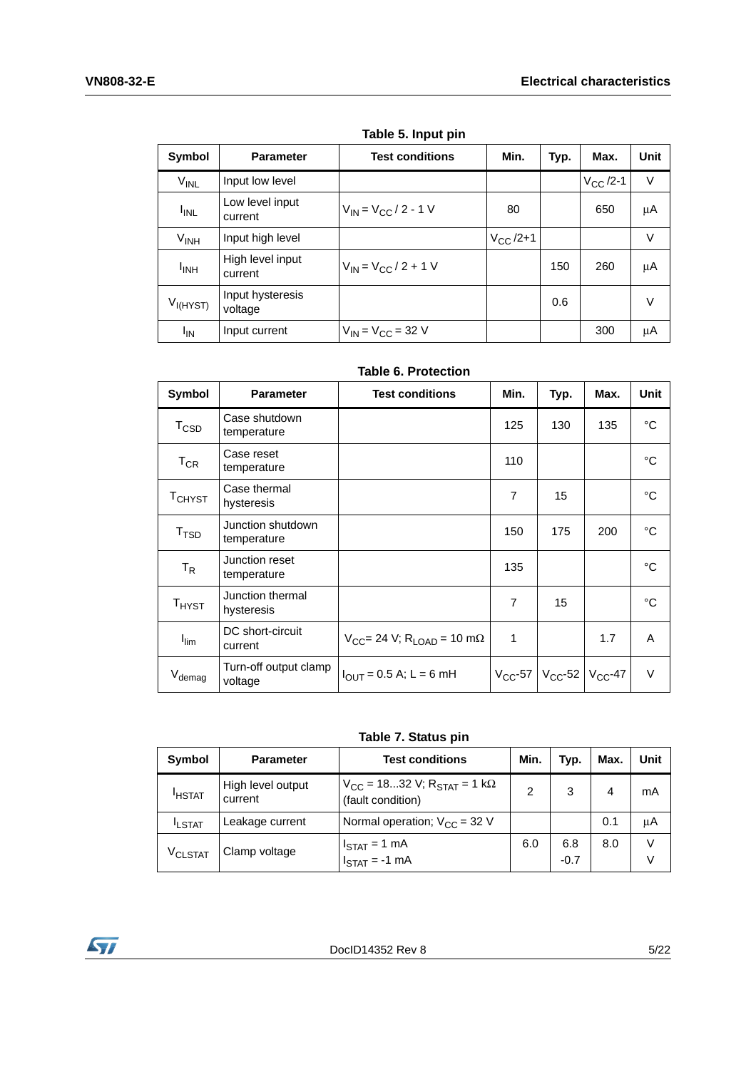<span id="page-4-0"></span>

|                        | TUNIC J. IIIPUL PIII        |                             |               |      |               |             |
|------------------------|-----------------------------|-----------------------------|---------------|------|---------------|-------------|
| Symbol                 | <b>Parameter</b>            | <b>Test conditions</b>      | Min.          | Typ. | Max.          | <b>Unit</b> |
| V <sub>INL</sub>       | Input low level             |                             |               |      | $V_{CC}$ /2-1 | V           |
| <b>I<sub>INL</sub></b> | Low level input<br>current  | $V_{IN} = V_{CC} / 2 - 1 V$ | 80            |      | 650           | $\mu$ A     |
| $V_{INH}$              | Input high level            |                             | $V_{CC}$ /2+1 |      |               | V           |
| <b>I<sub>INH</sub></b> | High level input<br>current | $V_{IN} = V_{CC} / 2 + 1 V$ |               | 150  | 260           | μA          |
| $V_{I(HYST)}$          | Input hysteresis<br>voltage |                             |               | 0.6  |               | V           |
| ΙM                     | Input current               | $V_{IN} = V_{CC} = 32 V$    |               |      | 300           | μA          |

**Table 5. Input pin**

#### **Table 6. Protection**

| Symbol                 | <b>Parameter</b>                 | <b>Test conditions</b>                             | Min.           | Typ.                                   | Max. | <b>Unit</b>  |
|------------------------|----------------------------------|----------------------------------------------------|----------------|----------------------------------------|------|--------------|
| <b>T<sub>CSD</sub></b> | Case shutdown<br>temperature     |                                                    | 125            | 130                                    | 135  | $^{\circ}$ C |
| $T_{CR}$               | Case reset<br>temperature        |                                                    | 110            |                                        |      | °C           |
| TCHYST                 | Case thermal<br>hysteresis       |                                                    | 7              | 15                                     |      | °C           |
| T <sub>TSD</sub>       | Junction shutdown<br>temperature |                                                    | 150            | 175                                    | 200  | $^{\circ}C$  |
| $T_R$                  | Junction reset<br>temperature    |                                                    | 135            |                                        |      | °C           |
| $T_{H YST}$            | Junction thermal<br>hysteresis   |                                                    | $\overline{7}$ | 15                                     |      | °C           |
| $I_{\text{lim}}$       | DC short-circuit<br>current      | $V_{CC}$ = 24 V; R <sub>LOAD</sub> = 10 m $\Omega$ | 1              |                                        | 1.7  | A            |
| $V_{\text{demag}}$     | Turn-off output clamp<br>voltage | $I_{OUT} = 0.5$ A; L = 6 mH                        |                | $V_{CC}$ -57 $V_{CC}$ -52 $V_{CC}$ -47 |      | V            |

**Table 7. Status pin**

| <b>Symbol</b>       | <b>Parameter</b>             | <b>Test conditions</b>                                                | Min. | Typ.          | Max. | Unit        |
|---------------------|------------------------------|-----------------------------------------------------------------------|------|---------------|------|-------------|
| <b>HSTAT</b>        | High level output<br>current | $V_{CC}$ = 1832 V; R <sub>STAT</sub> = 1 kΩ<br>(fault condition)      | 2    | 3             | 4    | mA          |
| <b>ILSTAT</b>       | Leakage current              | Normal operation; $V_{CC}$ = 32 V                                     |      |               | 0.1  | μA          |
| V <sub>CLSTAT</sub> | Clamp voltage                | $I_{\text{STAT}} = 1 \text{ mA}$<br>$I_{\text{STAT}} = -1 \text{ mA}$ | 6.0  | 6.8<br>$-0.7$ | 8.0  | $\vee$<br>V |

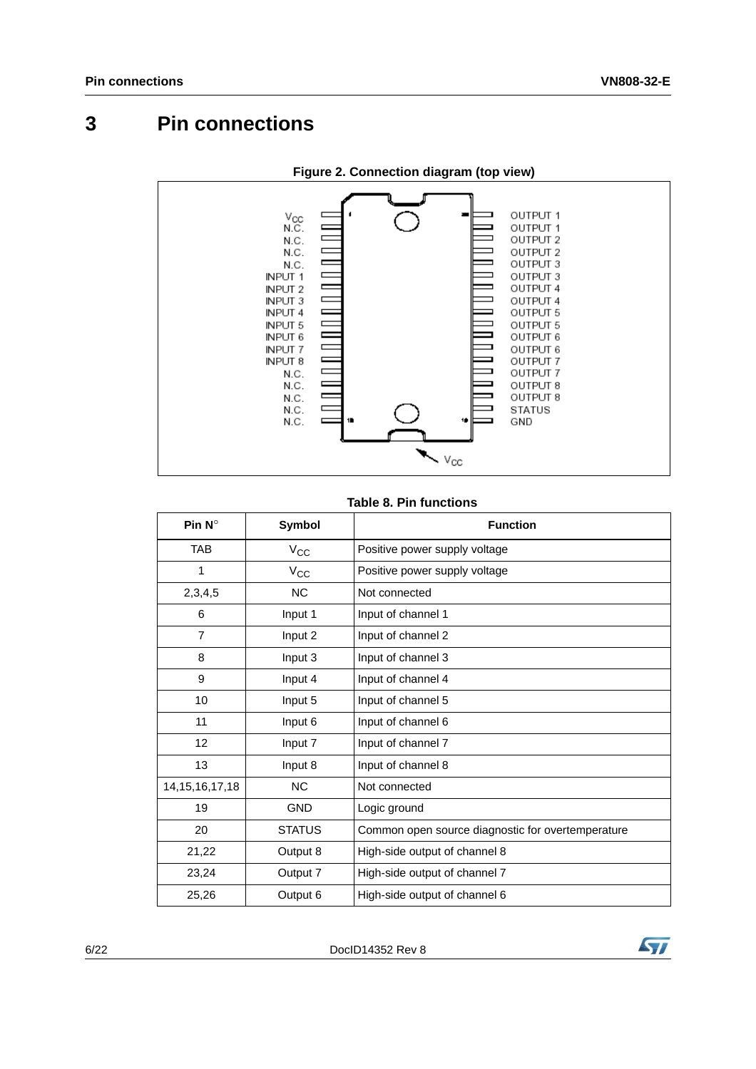## <span id="page-5-0"></span>**3 Pin connections**



**Figure 2. Connection diagram (top view)**

#### **Table 8. Pin functions**

| Pin $N^{\circ}$    | Symbol        | <b>Function</b>                                   |
|--------------------|---------------|---------------------------------------------------|
| <b>TAB</b>         | $V_{CC}$      | Positive power supply voltage                     |
| 1                  | $V_{CC}$      | Positive power supply voltage                     |
| 2,3,4,5            | <b>NC</b>     | Not connected                                     |
| 6                  | Input 1       | Input of channel 1                                |
| $\overline{7}$     | Input 2       | Input of channel 2                                |
| 8                  | Input 3       | Input of channel 3                                |
| 9                  | Input 4       | Input of channel 4                                |
| 10                 | Input 5       | Input of channel 5                                |
| 11                 | Input 6       | Input of channel 6                                |
| 12                 | Input 7       | Input of channel 7                                |
| 13                 | Input 8       | Input of channel 8                                |
| 14, 15, 16, 17, 18 | <b>NC</b>     | Not connected                                     |
| 19                 | <b>GND</b>    | Logic ground                                      |
| 20                 | <b>STATUS</b> | Common open source diagnostic for overtemperature |
| 21,22              | Output 8      | High-side output of channel 8                     |
| 23,24              | Output 7      | High-side output of channel 7                     |
| 25,26              | Output 6      | High-side output of channel 6                     |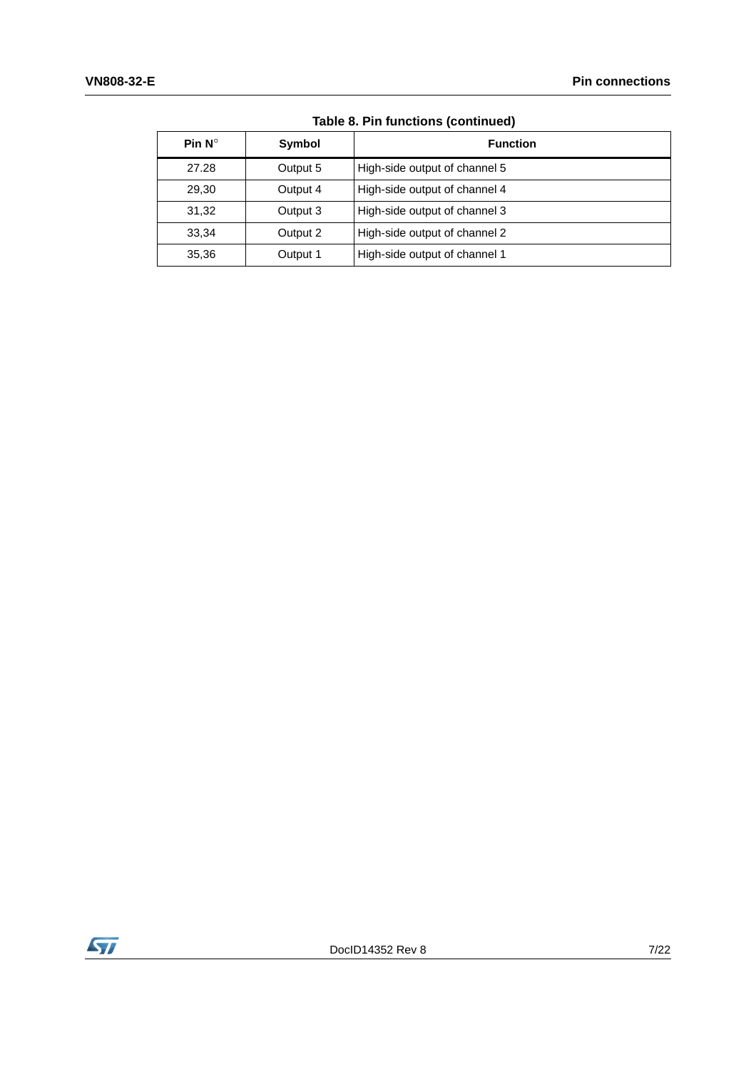| Pin $N^{\circ}$ | Symbol   | <b>Function</b>               |
|-----------------|----------|-------------------------------|
| 27.28           | Output 5 | High-side output of channel 5 |
| 29,30           | Output 4 | High-side output of channel 4 |
| 31,32           | Output 3 | High-side output of channel 3 |
| 33,34           | Output 2 | High-side output of channel 2 |
| 35,36           | Output 1 | High-side output of channel 1 |

**Table 8. Pin functions (continued)**

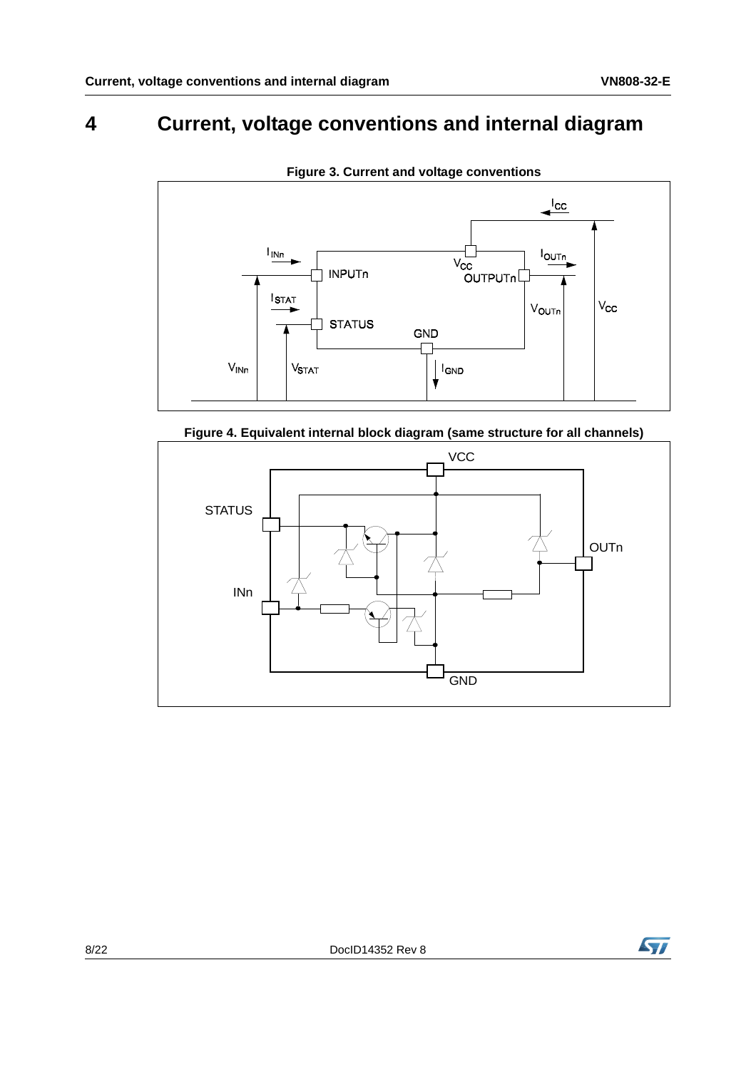## <span id="page-7-0"></span>**4 Current, voltage conventions and internal diagram**



**Figure 3. Current and voltage conventions**



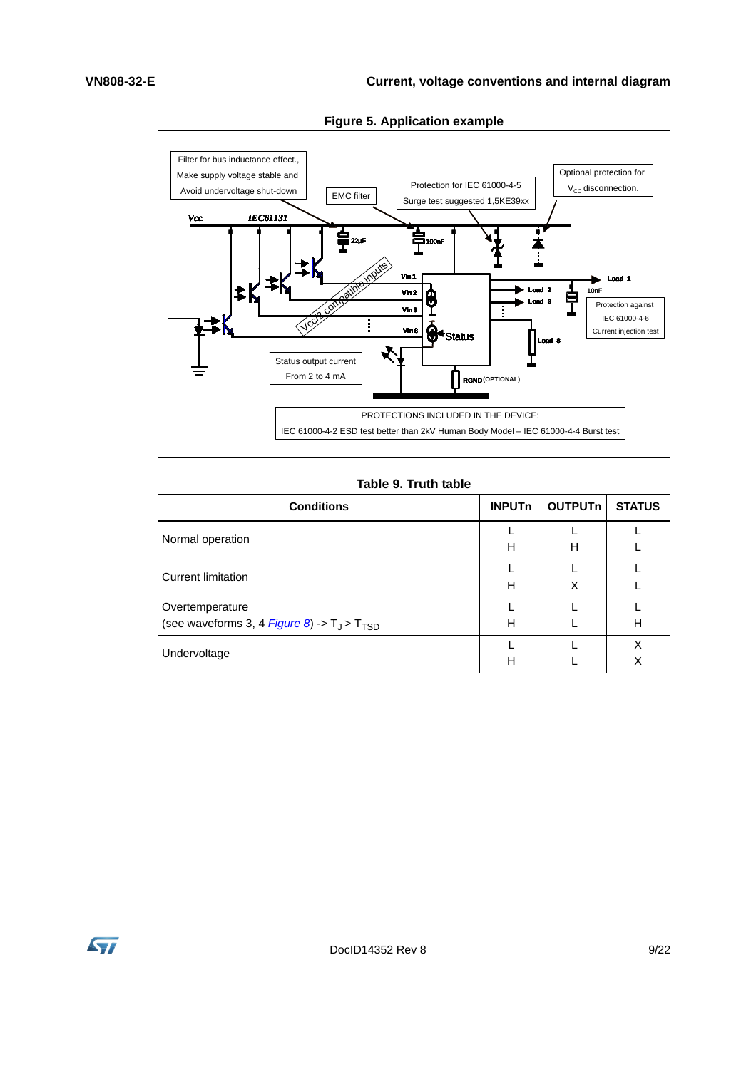

**Figure 5. Application example** 

#### **Table 9. Truth table**

| <b>Conditions</b>                                                     | <b>INPUT<sub>n</sub></b> | <b>OUTPUTn</b> | <b>STATUS</b> |
|-----------------------------------------------------------------------|--------------------------|----------------|---------------|
| Normal operation                                                      | н                        | н              |               |
| <b>Current limitation</b>                                             | н                        | X              |               |
| Overtemperature<br>(see waveforms 3, 4 Figure 8) -> $T_J$ > $T_{TSD}$ | н                        |                | H             |
| Undervoltage                                                          | н                        |                | X<br>Χ        |

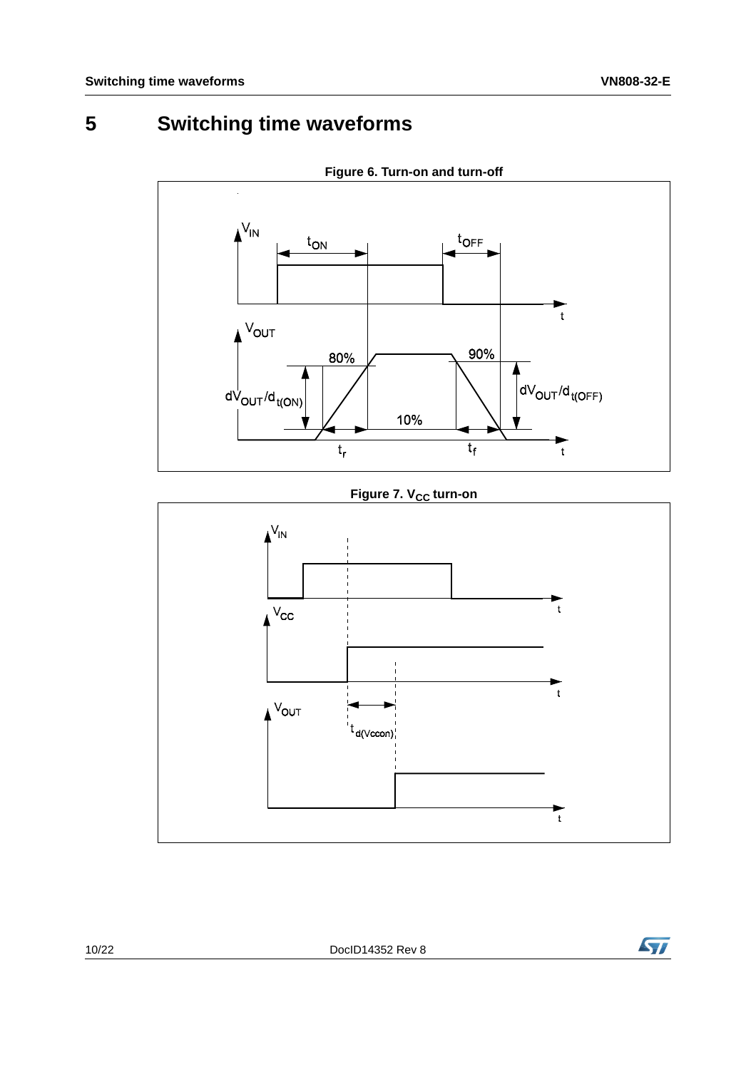# <span id="page-9-0"></span>**5 Switching time waveforms**

<span id="page-9-2"></span>

**Figure 6. Turn-on and turn-off**

**Figure 7. V<sub>CC</sub> turn-on** 

<span id="page-9-1"></span>

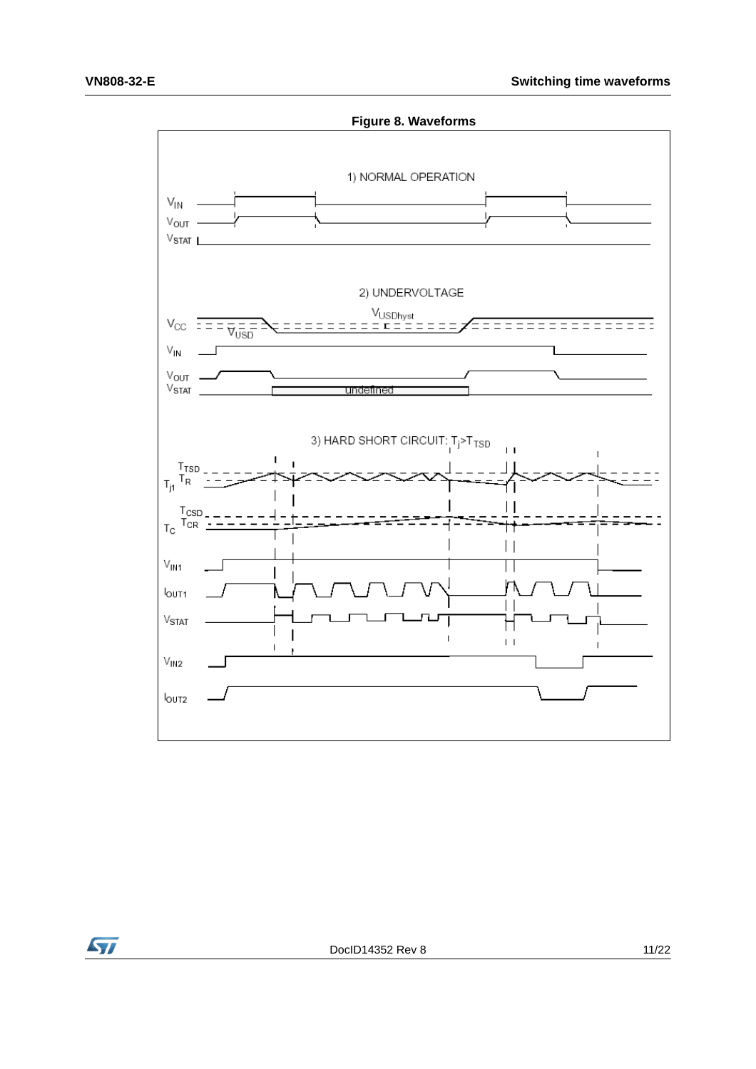<span id="page-10-0"></span>

**Syl**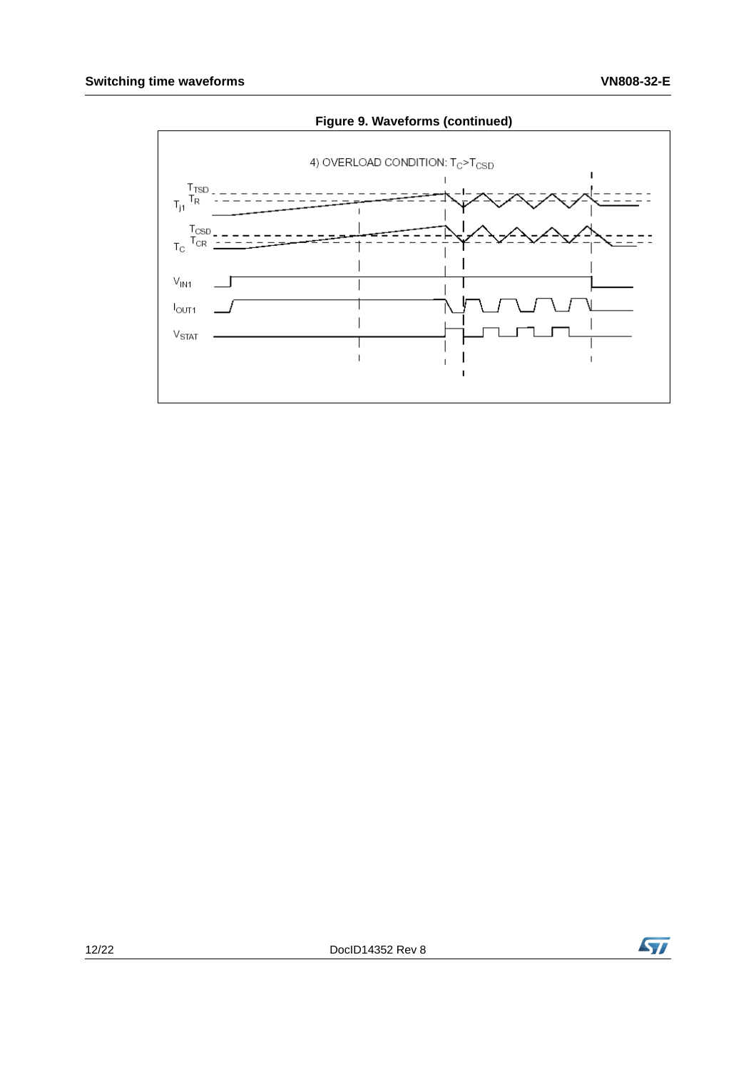

 $\mathbf{I}$ 

### **Figure 9. Waveforms (continued)**

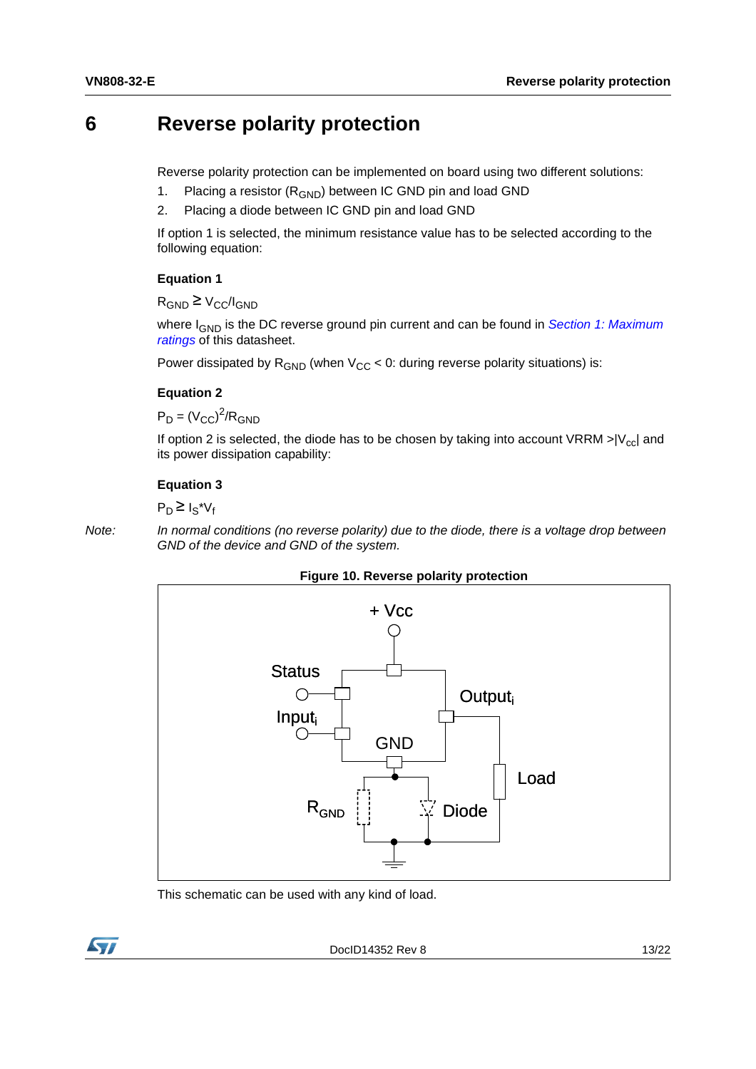### <span id="page-12-0"></span>**6 Reverse polarity protection**

Reverse polarity protection can be implemented on board using two different solutions:

- 1. Placing a resistor  $(R_{GND})$  between IC GND pin and load GND
- 2. Placing a diode between IC GND pin and load GND

If option 1 is selected, the minimum resistance value has to be selected according to the following equation:

#### **Equation 1**

 $R_{GND} \geq V_{CC}/I_{GND}$ 

where I<sub>GND</sub> is the DC reverse ground pin current and can be found in *Section 1: Maximum [ratings](#page-2-0)* of this datasheet.

Power dissipated by  $R_{GND}$  (when  $V_{CC}$  < 0: during reverse polarity situations) is:

#### **Equation 2**

 $P_D = (V_{CC})^2/R_{GND}$ 

If option 2 is selected, the diode has to be chosen by taking into account VRRM  $>$ |V<sub>cc</sub>| and its power dissipation capability:

#### **Equation 3**

 $P_D \geq I_S^*V_f$ 

*Note: In normal conditions (no reverse polarity) due to the diode, there is a voltage drop between GND of the device and GND of the system.*





This schematic can be used with any kind of load.

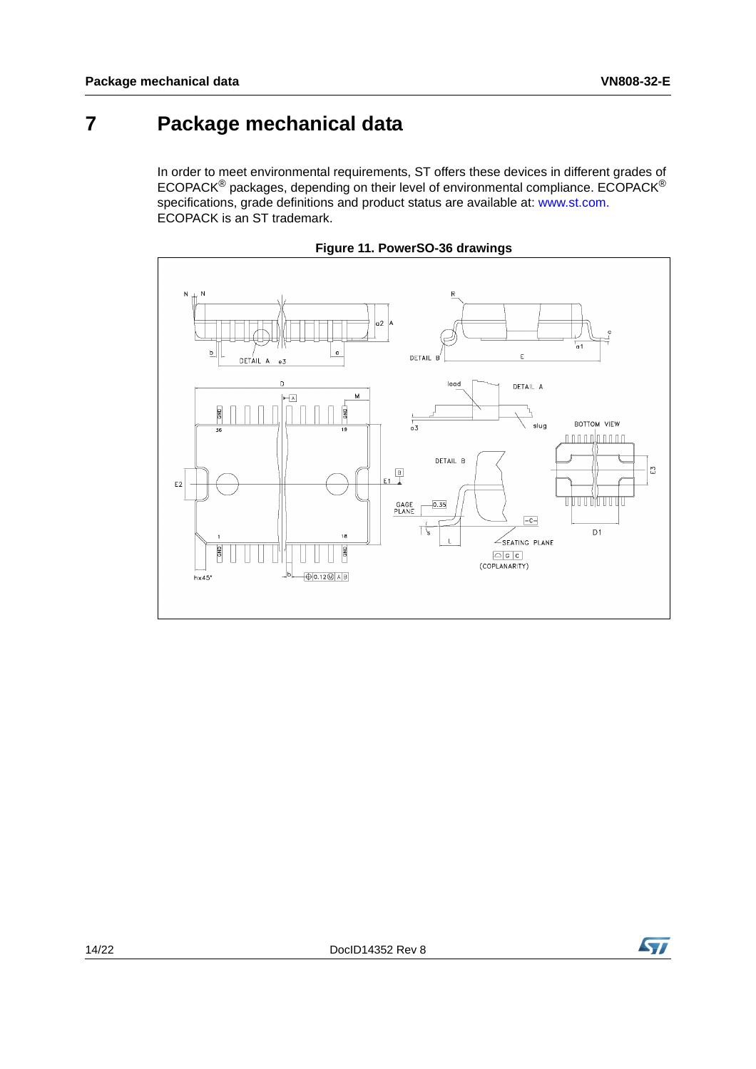## <span id="page-13-0"></span>**7 Package mechanical data**

In order to meet environmental requirements, ST offers these devices in different grades of ECOPACK® packages, depending on their level of environmental compliance. ECOPACK® specifications, grade definitions and product status are available at: www.st.com. ECOPACK is an ST trademark.



**Figure 11. PowerSO-36 drawings** 

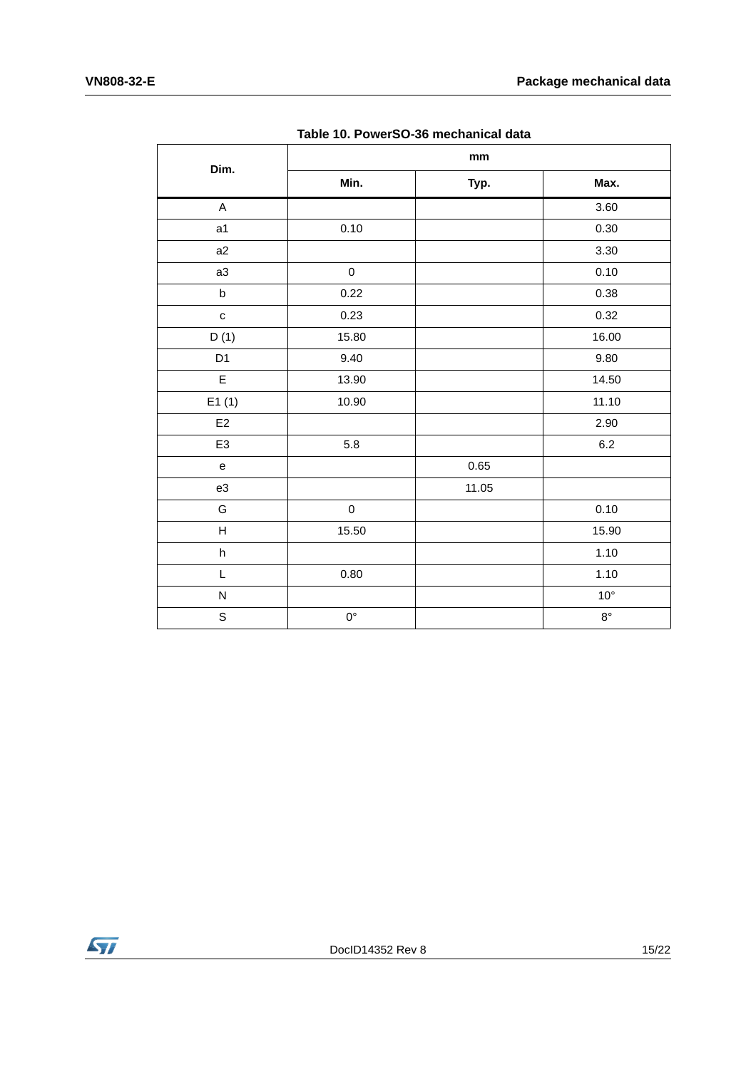| Dim.                      | $\mathop{\text{mm}}\nolimits$ |       |              |
|---------------------------|-------------------------------|-------|--------------|
|                           | Min.                          | Typ.  | Max.         |
| A                         |                               |       | 3.60         |
| a1                        | 0.10                          |       | 0.30         |
| a2                        |                               |       | 3.30         |
| a3                        | $\mathsf 0$                   |       | 0.10         |
| $\sf b$                   | 0.22                          |       | 0.38         |
| $\mathtt{C}$              | 0.23                          |       | 0.32         |
| D(1)                      | 15.80                         |       | 16.00        |
| D <sub>1</sub>            | 9.40                          |       | 9.80         |
| E                         | 13.90                         |       | 14.50        |
| E1(1)                     | 10.90                         |       | 11.10        |
| E2                        |                               |       | 2.90         |
| E <sub>3</sub>            | 5.8                           |       | $6.2\,$      |
| ${\bf e}$                 |                               | 0.65  |              |
| e3                        |                               | 11.05 |              |
| G                         | $\pmb{0}$                     |       | 0.10         |
| $\boldsymbol{\mathsf{H}}$ | 15.50                         |       | 15.90        |
| $\sf h$                   |                               |       | 1.10         |
| L                         | 0.80                          |       | 1.10         |
| ${\sf N}$                 |                               |       | $10^{\circ}$ |
| $\mathbb S$               | $0^{\circ}$                   |       | $8^{\circ}$  |

**Table 10. PowerSO-36 mechanical data**

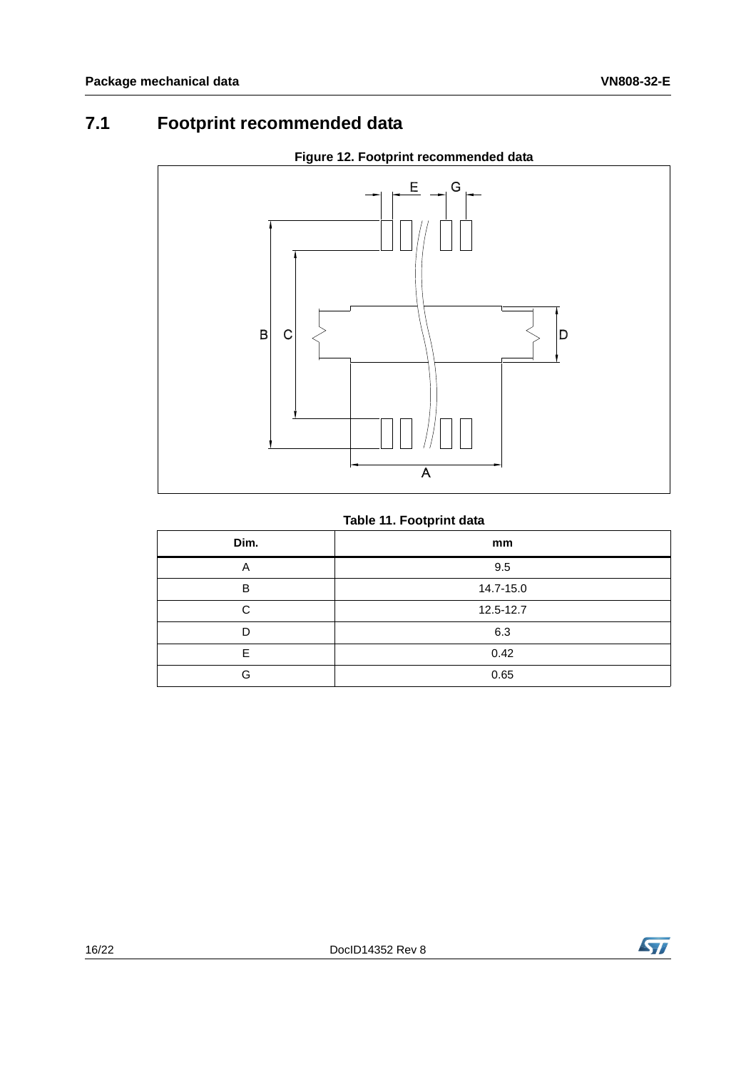### <span id="page-15-0"></span>**7.1 Footprint recommended data**

<span id="page-15-1"></span>

### **Figure 12. Footprint recommended data**

### **Table 11. Footprint data**

| Dim. | mm        |
|------|-----------|
| A    | 9.5       |
| B    | 14.7-15.0 |
| C    | 12.5-12.7 |
| D    | 6.3       |
| F    | 0.42      |
| G    | 0.65      |

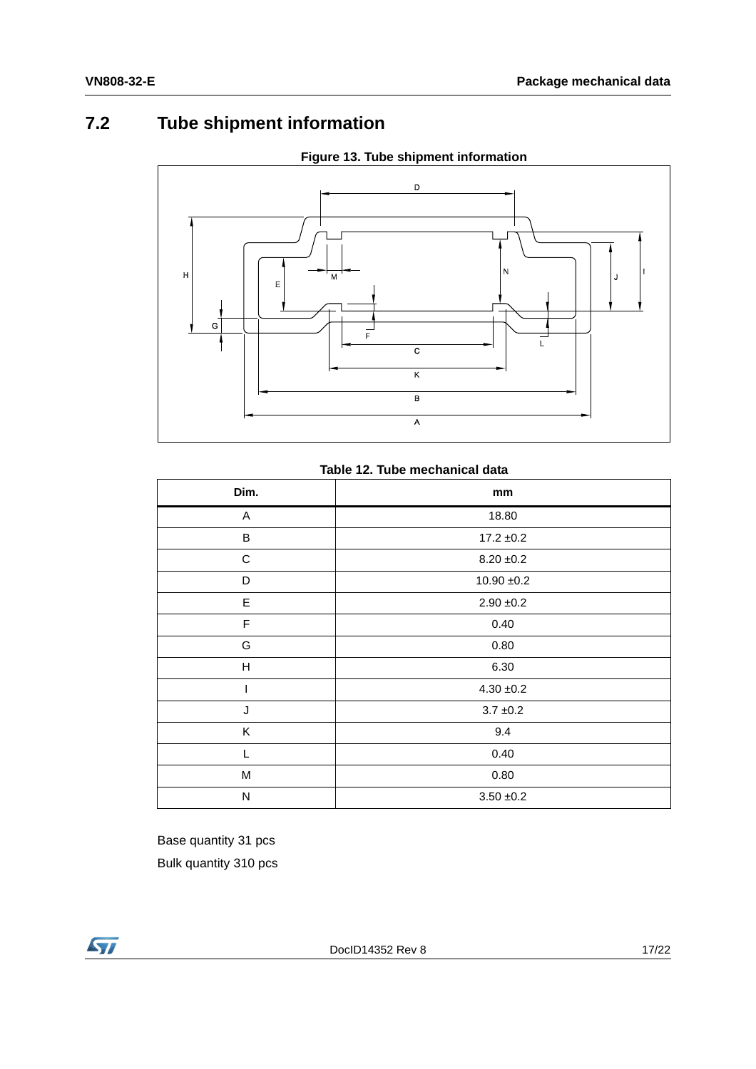### <span id="page-16-0"></span>**7.2 Tube shipment information**



**Figure 13. Tube shipment information**

|  |  |  | Table 12. Tube mechanical data |  |
|--|--|--|--------------------------------|--|
|--|--|--|--------------------------------|--|

| Dim.        | mm             |  |
|-------------|----------------|--|
| A           | 18.80          |  |
| B           | $17.2 \pm 0.2$ |  |
| ${\bf C}$   | $8.20 \pm 0.2$ |  |
| D           | $10.90 + 0.2$  |  |
| E           | $2.90 + 0.2$   |  |
| $\mathsf F$ | 0.40           |  |
| G           | 0.80           |  |
| Н           | 6.30           |  |
|             | $4.30 \pm 0.2$ |  |
| J           | $3.7 \pm 0.2$  |  |
| K           | 9.4            |  |
| L           | 0.40           |  |
| M           | 0.80           |  |
| N           | $3.50 + 0.2$   |  |

Base quantity 31 pcs Bulk quantity 310 pcs



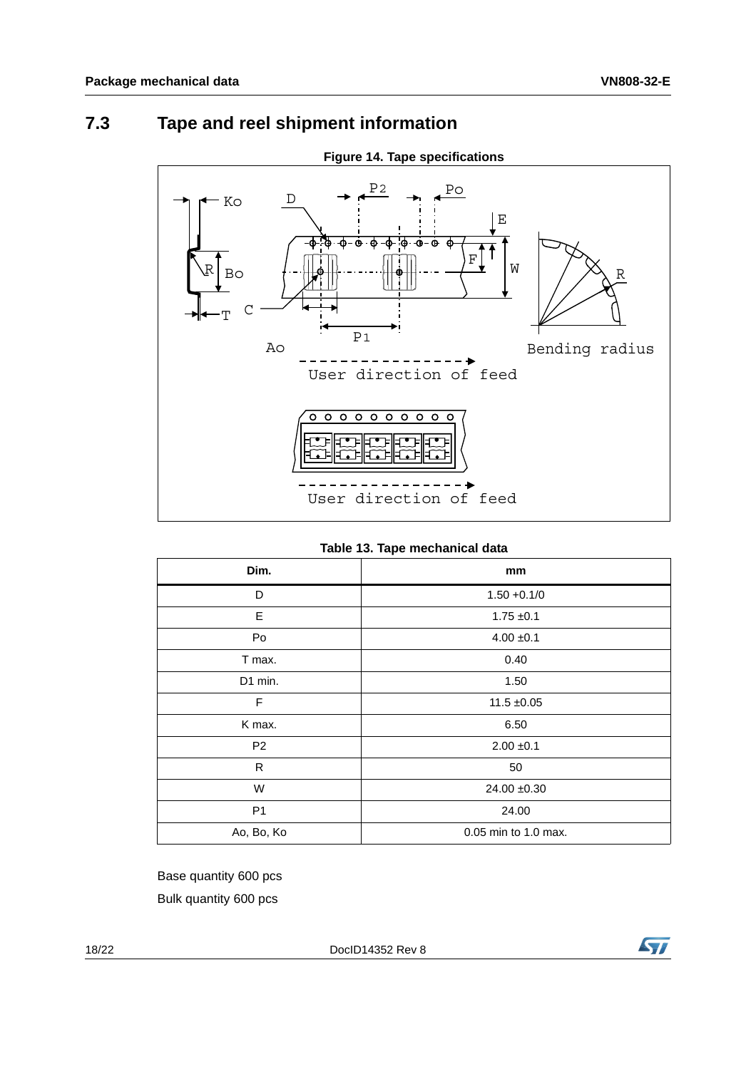### <span id="page-17-0"></span>**7.3 Tape and reel shipment information**



#### **Figure 14. Tape specifications**

#### **Table 13. Tape mechanical data**

| Dim.           | mm                   |  |
|----------------|----------------------|--|
| D              | $1.50 + 0.1/0$       |  |
| E              | $1.75 \pm 0.1$       |  |
| Po             | $4.00 \pm 0.1$       |  |
| T max.         | 0.40                 |  |
| D1 min.        | 1.50                 |  |
| F              | $11.5 \pm 0.05$      |  |
| K max.         | 6.50                 |  |
| P <sub>2</sub> | $2.00 \pm 0.1$       |  |
| R              | 50                   |  |
| W              | $24.00 + 0.30$       |  |
| P <sub>1</sub> | 24.00                |  |
| Ao, Bo, Ko     | 0.05 min to 1.0 max. |  |

Base quantity 600 pcs Bulk quantity 600 pcs

18/22 DocID14352 Rev 8

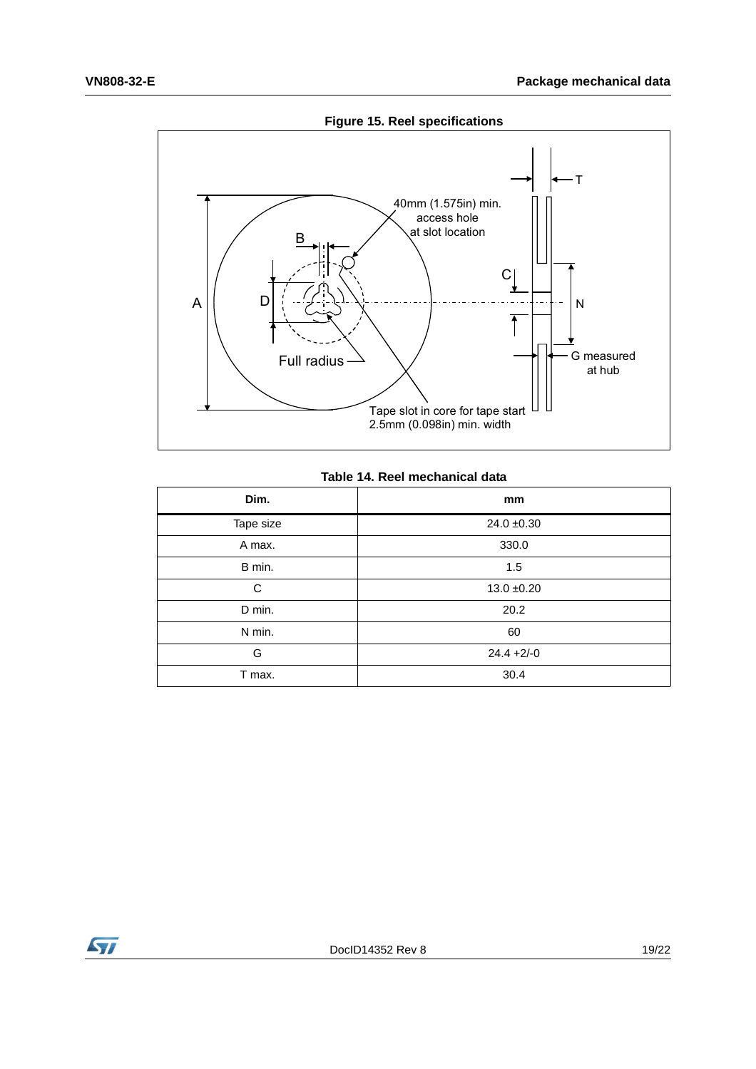

#### **Figure 15. Reel specifications**

#### **Table 14. Reel mechanical data**

| Dim.      | mm              |
|-----------|-----------------|
| Tape size | $24.0 \pm 0.30$ |
| A max.    | 330.0           |
| B min.    | 1.5             |
| C         | $13.0 + 0.20$   |
| D min.    | 20.2            |
| N min.    | 60              |
| G         | $24.4 +2/-0$    |
| T max.    | 30.4            |

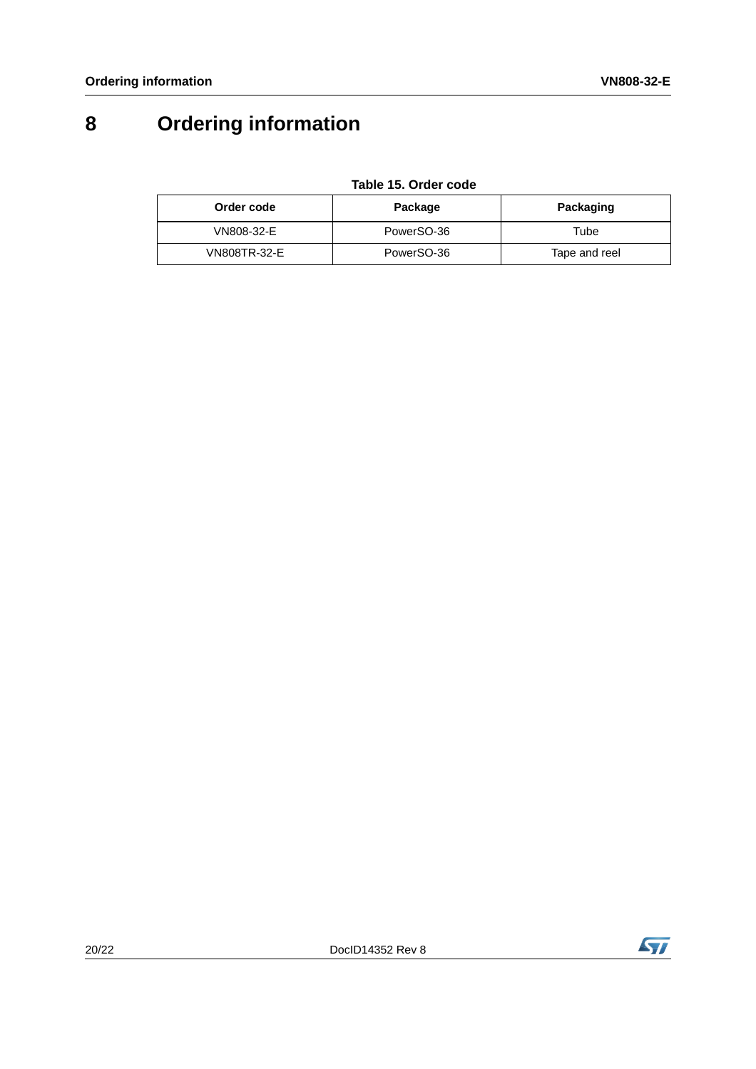# <span id="page-19-0"></span>**8 Ordering information**

#### **Table 15. Order code**

| Order code   | Package    | Packaging     |
|--------------|------------|---------------|
| VN808-32-E   | PowerSO-36 | Tube          |
| VN808TR-32-E | PowerSO-36 | Tape and reel |

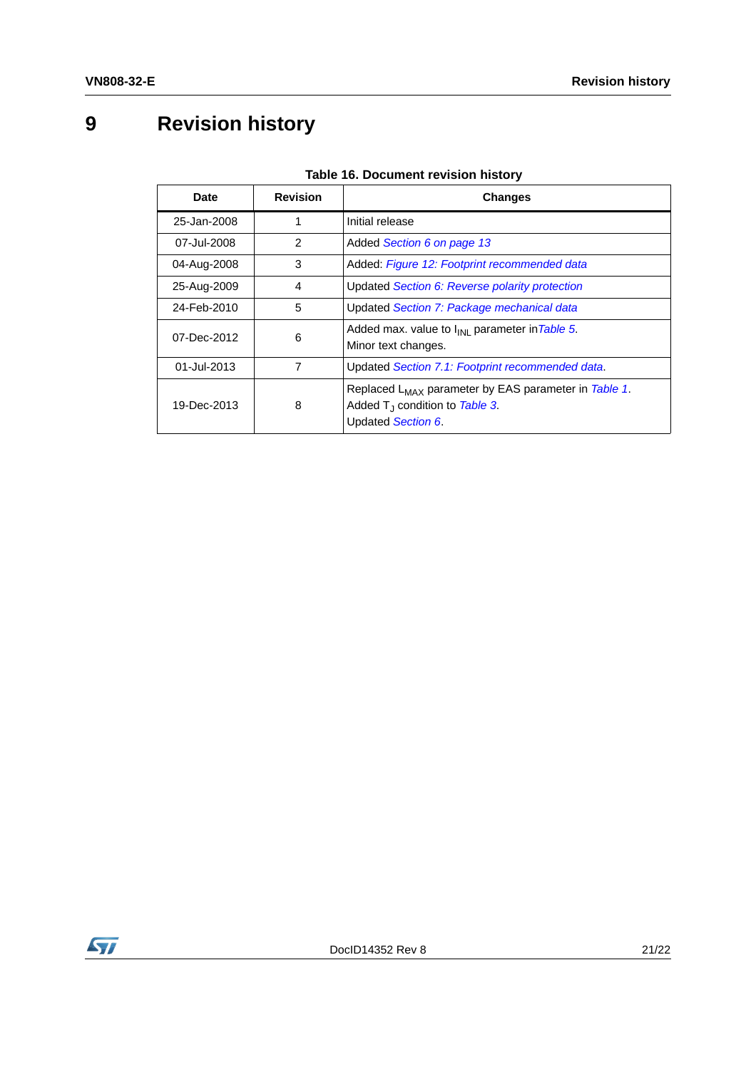# <span id="page-20-0"></span>**9 Revision history**

| <b>Date</b> | <b>Revision</b> | <b>Changes</b>                                                                                                              |
|-------------|-----------------|-----------------------------------------------------------------------------------------------------------------------------|
| 25-Jan-2008 | 1               | Initial release                                                                                                             |
| 07-Jul-2008 | 2               | Added Section 6 on page 13                                                                                                  |
| 04-Aug-2008 | 3               | Added: Figure 12: Footprint recommended data                                                                                |
| 25-Aug-2009 | 4               | Updated Section 6: Reverse polarity protection                                                                              |
| 24-Feb-2010 | 5               | Updated Section 7: Package mechanical data                                                                                  |
| 07-Dec-2012 | 6               | Added max. value to I <sub>INL</sub> parameter in Table 5.<br>Minor text changes.                                           |
| 01-Jul-2013 | 7               | Updated Section 7.1: Footprint recommended data.                                                                            |
| 19-Dec-2013 | 8               | Replaced L <sub>MAX</sub> parameter by EAS parameter in Table 1.<br>Added $T_1$ condition to Table 3.<br>Updated Section 6. |

#### **Table 16. Document revision history**